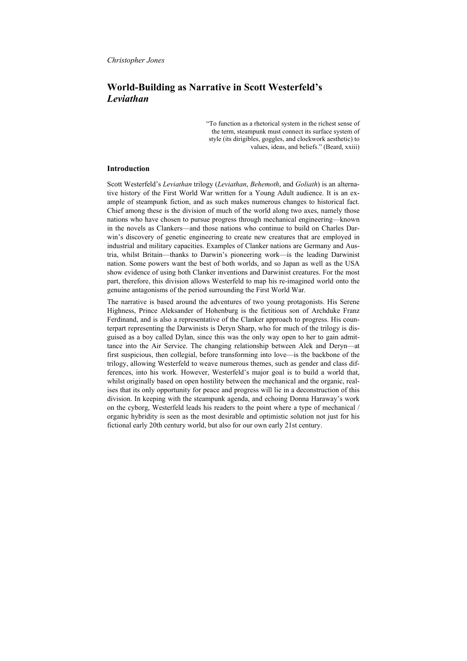# **World-Building as Narrative in Scott Westerfeld's** *Leviathan*

"To function as a rhetorical system in the richest sense of the term, steampunk must connect its surface system of style (its dirigibles, goggles, and clockwork aesthetic) to values, ideas, and beliefs." (Beard, xxiii)

#### **Introduction**

Scott Westerfeld's *Leviathan* trilogy (*Leviathan*, *Behemoth*, and *Goliath*) is an alternative history of the First World War written for a Young Adult audience. It is an example of steampunk fiction, and as such makes numerous changes to historical fact. Chief among these is the division of much of the world along two axes, namely those nations who have chosen to pursue progress through mechanical engineering—known in the novels as Clankers—and those nations who continue to build on Charles Darwin's discovery of genetic engineering to create new creatures that are employed in industrial and military capacities. Examples of Clanker nations are Germany and Austria, whilst Britain—thanks to Darwin's pioneering work—is the leading Darwinist nation. Some powers want the best of both worlds, and so Japan as well as the USA show evidence of using both Clanker inventions and Darwinist creatures. For the most part, therefore, this division allows Westerfeld to map his re-imagined world onto the genuine antagonisms of the period surrounding the First World War.

The narrative is based around the adventures of two young protagonists. His Serene Highness, Prince Aleksander of Hohenburg is the fictitious son of Archduke Franz Ferdinand, and is also a representative of the Clanker approach to progress. His counterpart representing the Darwinists is Deryn Sharp, who for much of the trilogy is disguised as a boy called Dylan, since this was the only way open to her to gain admittance into the Air Service. The changing relationship between Alek and Deryn—at first suspicious, then collegial, before transforming into love—is the backbone of the trilogy, allowing Westerfeld to weave numerous themes, such as gender and class differences, into his work. However, Westerfeld's major goal is to build a world that, whilst originally based on open hostility between the mechanical and the organic, realises that its only opportunity for peace and progress will lie in a deconstruction of this division. In keeping with the steampunk agenda, and echoing Donna Haraway's work on the cyborg, Westerfeld leads his readers to the point where a type of mechanical / organic hybridity is seen as the most desirable and optimistic solution not just for his fictional early 20th century world, but also for our own early 21st century.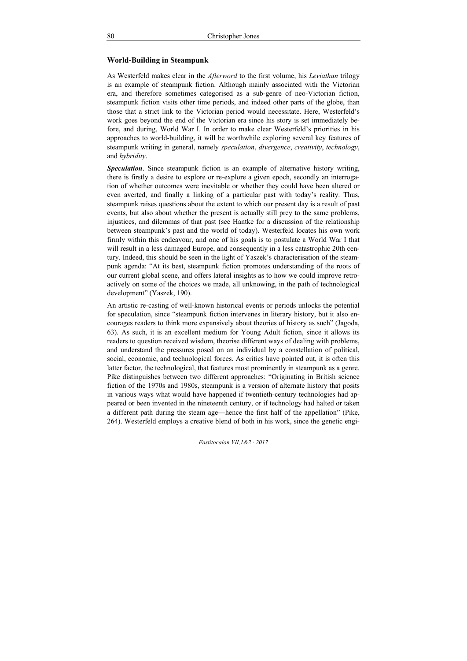### **World-Building in Steampunk**

As Westerfeld makes clear in the *Afterword* to the first volume, his *Leviathan* trilogy is an example of steampunk fiction. Although mainly associated with the Victorian era, and therefore sometimes categorised as a sub-genre of neo-Victorian fiction, steampunk fiction visits other time periods, and indeed other parts of the globe, than those that a strict link to the Victorian period would necessitate. Here, Westerfeld's work goes beyond the end of the Victorian era since his story is set immediately before, and during, World War I. In order to make clear Westerfeld's priorities in his approaches to world-building, it will be worthwhile exploring several key features of steampunk writing in general, namely *speculation*, *divergence*, *creativity*, *technology*, and *hybridity*.

*Speculation*. Since steampunk fiction is an example of alternative history writing, there is firstly a desire to explore or re-explore a given epoch, secondly an interrogation of whether outcomes were inevitable or whether they could have been altered or even averted, and finally a linking of a particular past with today's reality. Thus, steampunk raises questions about the extent to which our present day is a result of past events, but also about whether the present is actually still prey to the same problems, injustices, and dilemmas of that past (see Hantke for a discussion of the relationship between steampunk's past and the world of today). Westerfeld locates his own work firmly within this endeavour, and one of his goals is to postulate a World War I that will result in a less damaged Europe, and consequently in a less catastrophic 20th century. Indeed, this should be seen in the light of Yaszek's characterisation of the steampunk agenda: "At its best, steampunk fiction promotes understanding of the roots of our current global scene, and offers lateral insights as to how we could improve retroactively on some of the choices we made, all unknowing, in the path of technological development" (Yaszek, 190).

An artistic re-casting of well-known historical events or periods unlocks the potential for speculation, since "steampunk fiction intervenes in literary history, but it also encourages readers to think more expansively about theories of history as such" (Jagoda, 63). As such, it is an excellent medium for Young Adult fiction, since it allows its readers to question received wisdom, theorise different ways of dealing with problems, and understand the pressures posed on an individual by a constellation of political, social, economic, and technological forces. As critics have pointed out, it is often this latter factor, the technological, that features most prominently in steampunk as a genre. Pike distinguishes between two different approaches: "Originating in British science fiction of the 1970s and 1980s, steampunk is a version of alternate history that posits in various ways what would have happened if twentieth-century technologies had appeared or been invented in the nineteenth century, or if technology had halted or taken a different path during the steam age—hence the first half of the appellation" (Pike, 264). Westerfeld employs a creative blend of both in his work, since the genetic engi-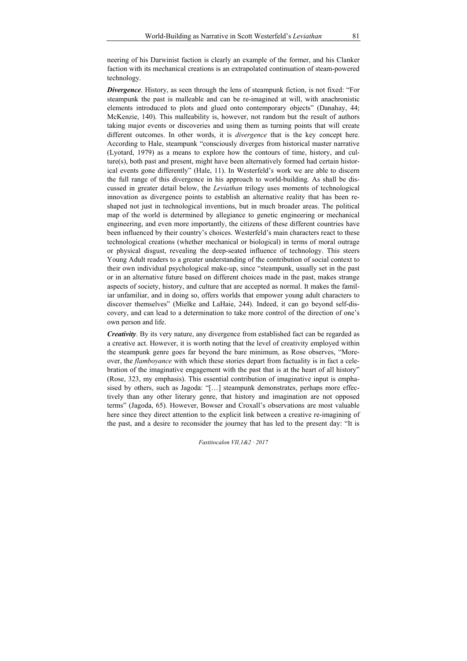neering of his Darwinist faction is clearly an example of the former, and his Clanker faction with its mechanical creations is an extrapolated continuation of steam-powered technology.

*Divergence*. History, as seen through the lens of steampunk fiction, is not fixed: "For steampunk the past is malleable and can be re-imagined at will, with anachronistic elements introduced to plots and glued onto contemporary objects" (Danahay, 44; McKenzie, 140). This malleability is, however, not random but the result of authors taking major events or discoveries and using them as turning points that will create different outcomes. In other words, it is *divergence* that is the key concept here. According to Hale, steampunk "consciously diverges from historical master narrative (Lyotard, 1979) as a means to explore how the contours of time, history, and culture(s), both past and present, might have been alternatively formed had certain historical events gone differently´ (Hale, 11). In Westerfeld's work we are able to discern the full range of this divergence in his approach to world-building. As shall be discussed in greater detail below, the *Leviathan* trilogy uses moments of technological innovation as divergence points to establish an alternative reality that has been reshaped not just in technological inventions, but in much broader areas. The political map of the world is determined by allegiance to genetic engineering or mechanical engineering, and even more importantly, the citizens of these different countries have been influenced by their country's choices. Westerfeld's main characters react to these technological creations (whether mechanical or biological) in terms of moral outrage or physical disgust, revealing the deep-seated influence of technology. This steers Young Adult readers to a greater understanding of the contribution of social context to their own individual psychological make-up, since "steampunk, usually set in the past or in an alternative future based on different choices made in the past, makes strange aspects of society, history, and culture that are accepted as normal. It makes the familiar unfamiliar, and in doing so, offers worlds that empower young adult characters to discover themselves" (Mielke and LaHaie, 244). Indeed, it can go beyond self-discovery, and can lead to a determination to take more control of the direction of one's own person and life.

*Creativity*. By its very nature, any divergence from established fact can be regarded as a creative act. However, it is worth noting that the level of creativity employed within the steampunk genre goes far beyond the bare minimum, as Rose observes, "Moreover, the *flamboyance* with which these stories depart from factuality is in fact a celebration of the imaginative engagement with the past that is at the heart of all history" (Rose, 323, my emphasis). This essential contribution of imaginative input is emphasised by others, such as Jagoda: "[...] steampunk demonstrates, perhaps more effectively than any other literary genre, that history and imagination are not opposed terms´ (Jagoda, 65). However, Bowser and Croxall's observations are most valuable here since they direct attention to the explicit link between a creative re-imagining of the past, and a desire to reconsider the journey that has led to the present day: "It is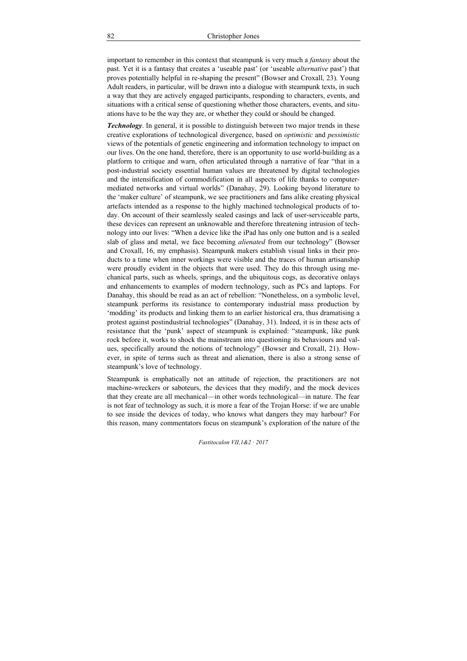important to remember in this context that steampunk is very much a *fantasy* about the past. Yet it is a fantasy that creates a 'useable past' (or 'useable *alternative* past') that proves potentially helpful in re-shaping the present" (Bowser and Croxall, 23). Young Adult readers, in particular, will be drawn into a dialogue with steampunk texts, in such a way that they are actively engaged participants, responding to characters, events, and situations with a critical sense of questioning whether those characters, events, and situations have to be the way they are, or whether they could or should be changed.

*Technology*. In general, it is possible to distinguish between two major trends in these creative explorations of technological divergence, based on *optimistic* and *pessimistic* views of the potentials of genetic engineering and information technology to impact on our lives. On the one hand, therefore, there is an opportunity to use world-building as a platform to critique and warn, often articulated through a narrative of fear "that in a post-industrial society essential human values are threatened by digital technologies and the intensification of commodification in all aspects of life thanks to computermediated networks and virtual worlds" (Danahay, 29). Looking beyond literature to the 'maker culture' of steampunk, we see practitioners and fans alike creating physical artefacts intended as a response to the highly machined technological products of today. On account of their seamlessly sealed casings and lack of user-serviceable parts, these devices can represent an unknowable and therefore threatening intrusion of technology into our lives: "When a device like the iPad has only one button and is a sealed slab of glass and metal, we face becoming *alienated* from our technology" (Bowser and Croxall, 16, my emphasis). Steampunk makers establish visual links in their products to a time when inner workings were visible and the traces of human artisanship were proudly evident in the objects that were used. They do this through using mechanical parts, such as wheels, springs, and the ubiquitous cogs, as decorative onlays and enhancements to examples of modern technology, such as PCs and laptops. For Danahay, this should be read as an act of rebellion: "Nonetheless, on a symbolic level, steampunk performs its resistance to contemporary industrial mass production by 'modding' its products and linking them to an earlier historical era, thus dramatising a protest against postindustrial technologies" (Danahay, 31). Indeed, it is in these acts of resistance that the 'punk' aspect of steampunk is explained: "steampunk, like punk rock before it, works to shock the mainstream into questioning its behaviours and values, specifically around the notions of technology´ (Bowser and Croxall, 21). However, in spite of terms such as threat and alienation, there is also a strong sense of steampunk's love of technology.

Steampunk is emphatically not an attitude of rejection, the practitioners are not machine-wreckers or saboteurs, the devices that they modify, and the mock devices that they create are all mechanical—in other words technological—in nature. The fear is not fear of technology as such, it is more a fear of the Trojan Horse: if we are unable to see inside the devices of today, who knows what dangers they may harbour? For this reason, many commentators focus on steampunk's exploration of the nature of the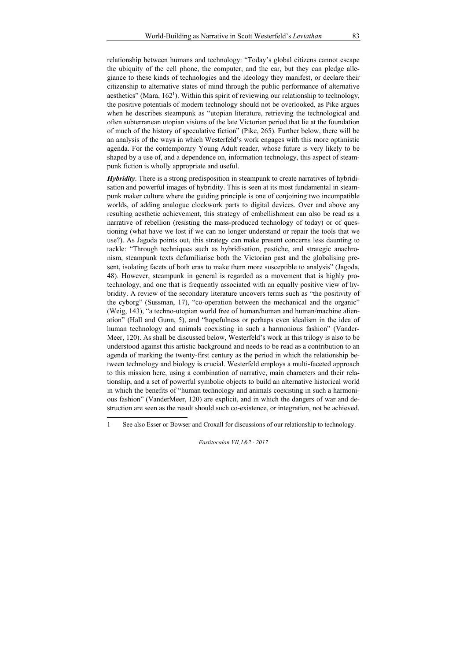relationship between humans and technology: "Today's global citizens cannot escape the ubiquity of the cell phone, the computer, and the car, but they can pledge allegiance to these kinds of technologies and the ideology they manifest, or declare their citizenship to alternative states of mind through the public performance of alternative aesthetics" (Mara, 162<sup>1</sup>). Within this spirit of reviewing our relationship to technology, the positive potentials of modern technology should not be overlooked, as Pike argues when he describes steampunk as "utopian literature, retrieving the technological and often subterranean utopian visions of the late Victorian period that lie at the foundation of much of the history of speculative fiction" (Pike, 265). Further below, there will be an analysis of the ways in which Westerfeld's work engages with this more optimistic agenda. For the contemporary Young Adult reader, whose future is very likely to be shaped by a use of, and a dependence on, information technology, this aspect of steampunk fiction is wholly appropriate and useful.

*Hybridity*. There is a strong predisposition in steampunk to create narratives of hybridisation and powerful images of hybridity. This is seen at its most fundamental in steampunk maker culture where the guiding principle is one of conjoining two incompatible worlds, of adding analogue clockwork parts to digital devices. Over and above any resulting aesthetic achievement, this strategy of embellishment can also be read as a narrative of rebellion (resisting the mass-produced technology of today) or of questioning (what have we lost if we can no longer understand or repair the tools that we use?). As Jagoda points out, this strategy can make present concerns less daunting to tackle: "Through techniques such as hybridisation, pastiche, and strategic anachronism, steampunk texts defamiliarise both the Victorian past and the globalising present, isolating facets of both eras to make them more susceptible to analysis" (Jagoda, 48). However, steampunk in general is regarded as a movement that is highly protechnology, and one that is frequently associated with an equally positive view of hybridity. A review of the secondary literature uncovers terms such as "the positivity of the cyborg" (Sussman, 17), "co-operation between the mechanical and the organic" (Weig, 143), "a techno-utopian world free of human/human and human/machine alienation´ (Hall and Gunn, 5), and "hopefulness or perhaps even idealism in the idea of human technology and animals coexisting in such a harmonious fashion" (Vander-Meer, 120). As shall be discussed below, Westerfeld's work in this trilogy is also to be understood against this artistic background and needs to be read as a contribution to an agenda of marking the twenty-first century as the period in which the relationship between technology and biology is crucial. Westerfeld employs a multi-faceted approach to this mission here, using a combination of narrative, main characters and their relationship, and a set of powerful symbolic objects to build an alternative historical world in which the benefits of "human technology and animals coexisting in such a harmonious fashion" (VanderMeer, 120) are explicit, and in which the dangers of war and destruction are seen as the result should such co-existence, or integration, not be achieved.

-

<sup>1</sup> See also Esser or Bowser and Croxall for discussions of our relationship to technology.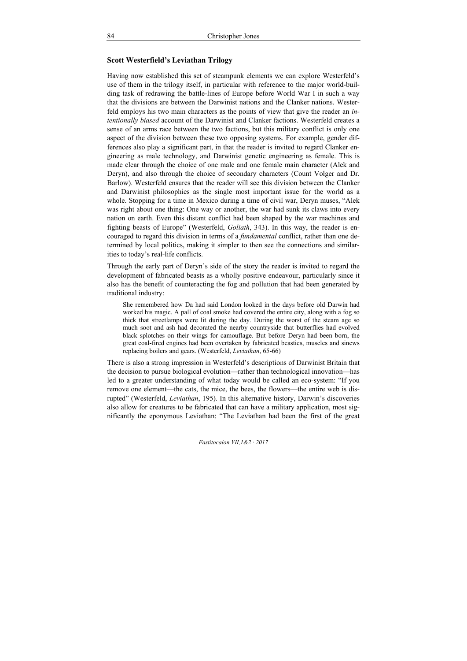## **Scott Westerfield's Leviathan Trilogy**

Having now established this set of steampunk elements we can explore Westerfeld's use of them in the trilogy itself, in particular with reference to the major world-building task of redrawing the battle-lines of Europe before World War I in such a way that the divisions are between the Darwinist nations and the Clanker nations. Westerfeld employs his two main characters as the points of view that give the reader an *intentionally biased* account of the Darwinist and Clanker factions. Westerfeld creates a sense of an arms race between the two factions, but this military conflict is only one aspect of the division between these two opposing systems. For example, gender differences also play a significant part, in that the reader is invited to regard Clanker engineering as male technology, and Darwinist genetic engineering as female. This is made clear through the choice of one male and one female main character (Alek and Deryn), and also through the choice of secondary characters (Count Volger and Dr. Barlow). Westerfeld ensures that the reader will see this division between the Clanker and Darwinist philosophies as the single most important issue for the world as a whole. Stopping for a time in Mexico during a time of civil war, Deryn muses, "Alek was right about one thing: One way or another, the war had sunk its claws into every nation on earth. Even this distant conflict had been shaped by the war machines and fighting beasts of Europe" (Westerfeld, *Goliath*, 343). In this way, the reader is encouraged to regard this division in terms of a *fundamental* conflict, rather than one determined by local politics, making it simpler to then see the connections and similarities to today's real-life conflicts.

Through the early part of Deryn's side of the story the reader is invited to regard the development of fabricated beasts as a wholly positive endeavour, particularly since it also has the benefit of counteracting the fog and pollution that had been generated by traditional industry:

She remembered how Da had said London looked in the days before old Darwin had worked his magic. A pall of coal smoke had covered the entire city, along with a fog so thick that streetlamps were lit during the day. During the worst of the steam age so much soot and ash had decorated the nearby countryside that butterflies had evolved black splotches on their wings for camouflage. But before Deryn had been born, the great coal-fired engines had been overtaken by fabricated beasties, muscles and sinews replacing boilers and gears. (Westerfeld, *Leviathan*, 65-66)

There is also a strong impression in Westerfeld's descriptions of Darwinist Britain that the decision to pursue biological evolution—rather than technological innovation—has led to a greater understanding of what today would be called an eco-system: "If you remove one element—the cats, the mice, the bees, the flowers—the entire web is disrupted" (Westerfeld, *Leviathan*, 195). In this alternative history, Darwin's discoveries also allow for creatures to be fabricated that can have a military application, most significantly the eponymous Leviathan: "The Leviathan had been the first of the great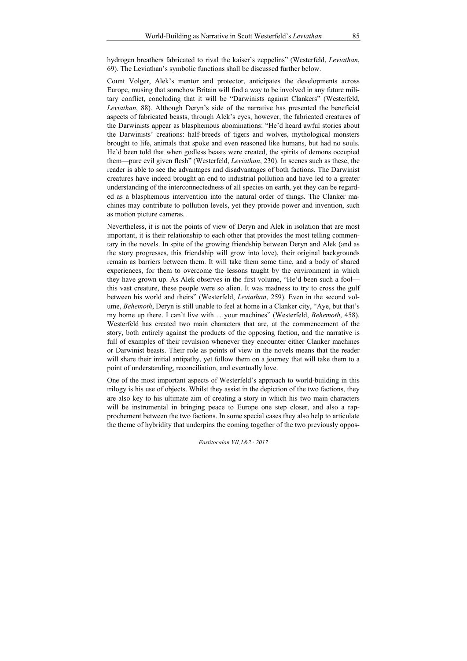hydrogen breathers fabricated to rival the kaiser's zeppelins" (Westerfeld, *Leviathan*, 69). The Leviathan's symbolic functions shall be discussed further below.

Count Volger, Alek's mentor and protector, anticipates the developments across Europe, musing that somehow Britain will find a way to be involved in any future military conflict, concluding that it will be "Darwinists against Clankers" (Westerfeld, *Leviathan*, 88). Although Deryn's side of the narrative has presented the beneficial aspects of fabricated beasts, through Alek's eyes, however, the fabricated creatures of the Darwinists appear as blasphemous abominations: "He'd heard awful stories about the Darwinists' creations: half-breeds of tigers and wolves, mythological monsters brought to life, animals that spoke and even reasoned like humans, but had no souls. He'd been told that when godless beasts were created, the spirits of demons occupied them—pure evil given flesh" (Westerfeld, *Leviathan*, 230). In scenes such as these, the reader is able to see the advantages and disadvantages of both factions. The Darwinist creatures have indeed brought an end to industrial pollution and have led to a greater understanding of the interconnectedness of all species on earth, yet they can be regarded as a blasphemous intervention into the natural order of things. The Clanker machines may contribute to pollution levels, yet they provide power and invention, such as motion picture cameras.

Nevertheless, it is not the points of view of Deryn and Alek in isolation that are most important, it is their relationship to each other that provides the most telling commentary in the novels. In spite of the growing friendship between Deryn and Alek (and as the story progresses, this friendship will grow into love), their original backgrounds remain as barriers between them. It will take them some time, and a body of shared experiences, for them to overcome the lessons taught by the environment in which they have grown up. As Alek observes in the first volume, "He'd been such a fool this vast creature, these people were so alien. It was madness to try to cross the gulf between his world and theirs" (Westerfeld, *Leviathan*, 259). Even in the second volume, *Behemoth*, Deryn is still unable to feel at home in a Clanker city, "Aye, but that's my home up there. I can't live with ... your machines´ (Westerfeld, *Behemoth*, 458). Westerfeld has created two main characters that are, at the commencement of the story, both entirely against the products of the opposing faction, and the narrative is full of examples of their revulsion whenever they encounter either Clanker machines or Darwinist beasts. Their role as points of view in the novels means that the reader will share their initial antipathy, yet follow them on a journey that will take them to a point of understanding, reconciliation, and eventually love.

One of the most important aspects of Westerfeld's approach to world-building in this trilogy is his use of objects. Whilst they assist in the depiction of the two factions, they are also key to his ultimate aim of creating a story in which his two main characters will be instrumental in bringing peace to Europe one step closer, and also a rapprochement between the two factions. In some special cases they also help to articulate the theme of hybridity that underpins the coming together of the two previously oppos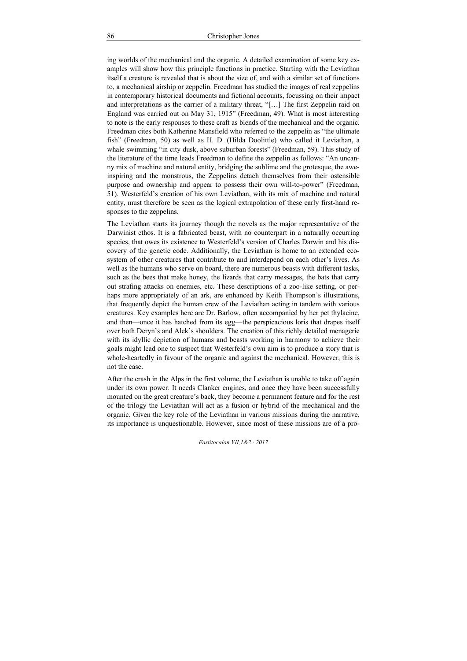ing worlds of the mechanical and the organic. A detailed examination of some key examples will show how this principle functions in practice. Starting with the Leviathan itself a creature is revealed that is about the size of, and with a similar set of functions to, a mechanical airship or zeppelin. Freedman has studied the images of real zeppelins in contemporary historical documents and fictional accounts, focussing on their impact and interpretations as the carrier of a military threat, " $[...]$  The first Zeppelin raid on England was carried out on May 31, 1915" (Freedman, 49). What is most interesting to note is the early responses to these craft as blends of the mechanical and the organic. Freedman cites both Katherine Mansfield who referred to the zeppelin as "the ultimate" fish" (Freedman, 50) as well as H. D. (Hilda Doolittle) who called it Leviathan, a whale swimming "in city dusk, above suburban forests" (Freedman, 59). This study of the literature of the time leads Freedman to define the zeppelin as follows: "An uncanny mix of machine and natural entity, bridging the sublime and the grotesque, the aweinspiring and the monstrous, the Zeppelins detach themselves from their ostensible purpose and ownership and appear to possess their own will-to-power" (Freedman, 51). Westerfeld's creation of his own Leviathan, with its mix of machine and natural entity, must therefore be seen as the logical extrapolation of these early first-hand responses to the zeppelins.

The Leviathan starts its journey though the novels as the major representative of the Darwinist ethos. It is a fabricated beast, with no counterpart in a naturally occurring species, that owes its existence to Westerfeld's version of Charles Darwin and his discovery of the genetic code. Additionally, the Leviathan is home to an extended ecosystem of other creatures that contribute to and interdepend on each other's lives. As well as the humans who serve on board, there are numerous beasts with different tasks, such as the bees that make honey, the lizards that carry messages, the bats that carry out strafing attacks on enemies, etc. These descriptions of a zoo-like setting, or perhaps more appropriately of an ark, are enhanced by Keith Thompson's illustrations, that frequently depict the human crew of the Leviathan acting in tandem with various creatures. Key examples here are Dr. Barlow, often accompanied by her pet thylacine, and then—once it has hatched from its egg—the perspicacious loris that drapes itself over both Deryn's and Alek's shoulders. The creation of this richly detailed menagerie with its idyllic depiction of humans and beasts working in harmony to achieve their goals might lead one to suspect that Westerfeld's own aim is to produce a story that is whole-heartedly in favour of the organic and against the mechanical. However, this is not the case.

After the crash in the Alps in the first volume, the Leviathan is unable to take off again under its own power. It needs Clanker engines, and once they have been successfully mounted on the great creature's back, they become a permanent feature and for the rest of the trilogy the Leviathan will act as a fusion or hybrid of the mechanical and the organic. Given the key role of the Leviathan in various missions during the narrative, its importance is unquestionable. However, since most of these missions are of a pro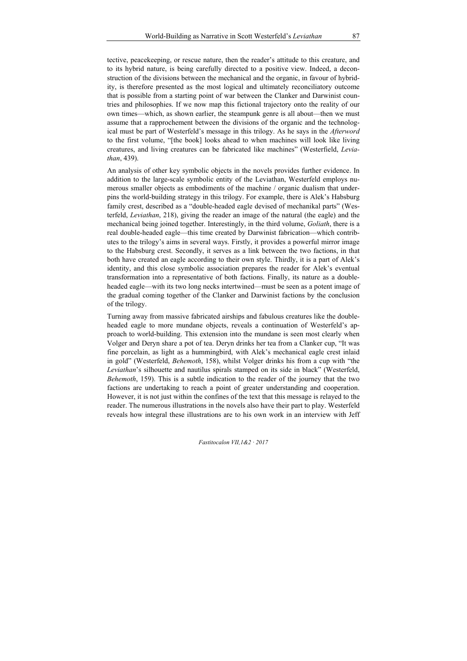tective, peacekeeping, or rescue nature, then the reader's attitude to this creature, and to its hybrid nature, is being carefully directed to a positive view. Indeed, a deconstruction of the divisions between the mechanical and the organic, in favour of hybridity, is therefore presented as the most logical and ultimately reconciliatory outcome that is possible from a starting point of war between the Clanker and Darwinist countries and philosophies. If we now map this fictional trajectory onto the reality of our own times—which, as shown earlier, the steampunk genre is all about—then we must assume that a rapprochement between the divisions of the organic and the technological must be part of Westerfeld's message in this trilogy. As he says in the *Afterword* to the first volume, "[the book] looks ahead to when machines will look like living creatures, and living creatures can be fabricated like machines´ (Westerfield, *Leviathan*, 439).

An analysis of other key symbolic objects in the novels provides further evidence. In addition to the large-scale symbolic entity of the Leviathan, Westerfeld employs numerous smaller objects as embodiments of the machine / organic dualism that underpins the world-building strategy in this trilogy. For example, there is Alek's Habsburg family crest, described as a "double-headed eagle devised of mechanikal parts" (Westerfeld, *Leviathan*, 218), giving the reader an image of the natural (the eagle) and the mechanical being joined together. Interestingly, in the third volume, *Goliath*, there is a real double-headed eagle—this time created by Darwinist fabrication—which contributes to the trilogy's aims in several ways. Firstly, it provides a powerful mirror image to the Habsburg crest. Secondly, it serves as a link between the two factions, in that both have created an eagle according to their own style. Thirdly, it is a part of Alek's identity, and this close symbolic association prepares the reader for Alek's eventual transformation into a representative of both factions. Finally, its nature as a doubleheaded eagle—with its two long necks intertwined—must be seen as a potent image of the gradual coming together of the Clanker and Darwinist factions by the conclusion of the trilogy.

Turning away from massive fabricated airships and fabulous creatures like the doubleheaded eagle to more mundane objects, reveals a continuation of Westerfeld's approach to world-building. This extension into the mundane is seen most clearly when Volger and Deryn share a pot of tea. Deryn drinks her tea from a Clanker cup, "It was fine porcelain, as light as a hummingbird, with Alek's mechanical eagle crest inlaid in gold´ (Westerfeld, *Behemoth*, 158), whilst Volger drinks his from a cup with "the Leviathan's silhouette and nautilus spirals stamped on its side in black" (Westerfeld, *Behemoth*, 159). This is a subtle indication to the reader of the journey that the two factions are undertaking to reach a point of greater understanding and cooperation. However, it is not just within the confines of the text that this message is relayed to the reader. The numerous illustrations in the novels also have their part to play. Westerfeld reveals how integral these illustrations are to his own work in an interview with Jeff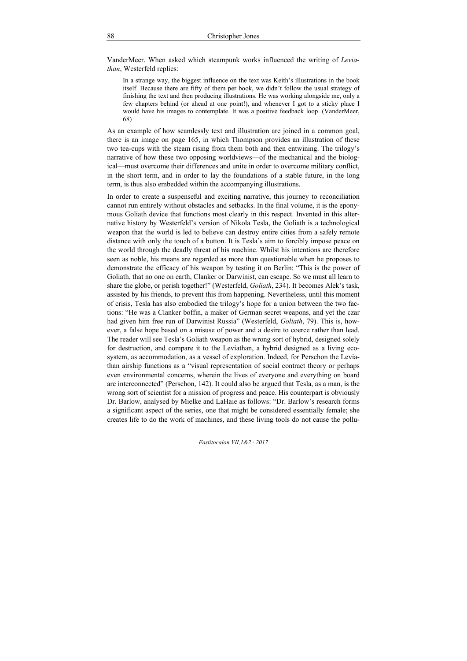VanderMeer. When asked which steampunk works influenced the writing of *Leviathan*, Westerfeld replies:

In a strange way, the biggest influence on the text was Keith's illustrations in the book itself. Because there are fifty of them per book, we didn't follow the usual strategy of finishing the text and then producing illustrations. He was working alongside me, only a few chapters behind (or ahead at one point), and whenever I got to a sticky place I would have his images to contemplate. It was a positive feedback loop. (VanderMeer, 68)

As an example of how seamlessly text and illustration are joined in a common goal, there is an image on page 165, in which Thompson provides an illustration of these two tea-cups with the steam rising from them both and then entwining. The trilogy's narrative of how these two opposing worldviews—of the mechanical and the biological—must overcome their differences and unite in order to overcome military conflict, in the short term, and in order to lay the foundations of a stable future, in the long term, is thus also embedded within the accompanying illustrations.

In order to create a suspenseful and exciting narrative, this journey to reconciliation cannot run entirely without obstacles and setbacks. In the final volume, it is the eponymous Goliath device that functions most clearly in this respect. Invented in this alternative history by Westerfeld's version of Nikola Tesla, the Goliath is a technological weapon that the world is led to believe can destroy entire cities from a safely remote distance with only the touch of a button. It is Tesla's aim to forcibly impose peace on the world through the deadly threat of his machine. Whilst his intentions are therefore seen as noble, his means are regarded as more than questionable when he proposes to demonstrate the efficacy of his weapon by testing it on Berlin: "This is the power of Goliath, that no one on earth, Clanker or Darwinist, can escape. So we must all learn to share the globe, or perish together!" (Westerfeld, *Goliath*, 234). It becomes Alek's task, assisted by his friends, to prevent this from happening. Nevertheless, until this moment of crisis, Tesla has also embodied the trilogy's hope for a union between the two factions: "He was a Clanker boffin, a maker of German secret weapons, and yet the czar had given him free run of Darwinist Russia´ (Westerfeld, *Goliath*, 79). This is, however, a false hope based on a misuse of power and a desire to coerce rather than lead. The reader will see Tesla's Goliath weapon as the wrong sort of hybrid, designed solely for destruction, and compare it to the Leviathan, a hybrid designed as a living ecosystem, as accommodation, as a vessel of exploration. Indeed, for Perschon the Leviathan airship functions as a "visual representation of social contract theory or perhaps even environmental concerns, wherein the lives of everyone and everything on board are interconnected" (Perschon, 142). It could also be argued that Tesla, as a man, is the wrong sort of scientist for a mission of progress and peace. His counterpart is obviously Dr. Barlow, analysed by Mielke and LaHaie as follows: "Dr. Barlow's research forms a significant aspect of the series, one that might be considered essentially female; she creates life to do the work of machines, and these living tools do not cause the pollu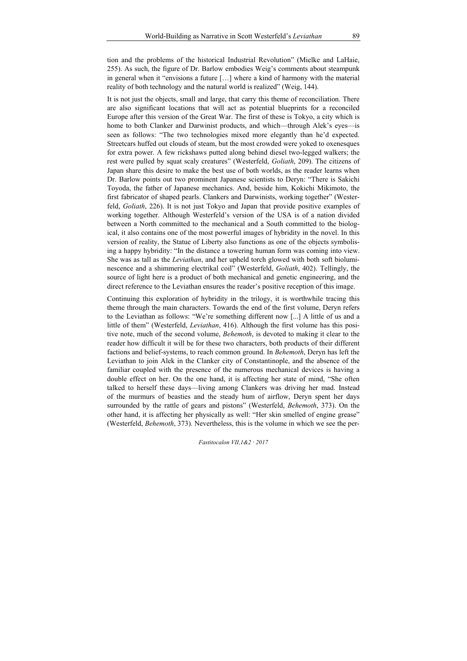tion and the problems of the historical Industrial Revolution´ (Mielke and LaHaie, 255). As such, the figure of Dr. Barlow embodies Weig's comments about steampunk in general when it "envisions a future  $[...]$  where a kind of harmony with the material reality of both technology and the natural world is realized" (Weig, 144).

It is not just the objects, small and large, that carry this theme of reconciliation. There are also significant locations that will act as potential blueprints for a reconciled Europe after this version of the Great War. The first of these is Tokyo, a city which is home to both Clanker and Darwinist products, and which—through Alek's eyes—is seen as follows: "The two technologies mixed more elegantly than he'd expected. Streetcars huffed out clouds of steam, but the most crowded were yoked to oxenesques for extra power. A few rickshaws putted along behind diesel two-legged walkers; the rest were pulled by squat scaly creatures" (Westerfeld, *Goliath*, 209). The citizens of Japan share this desire to make the best use of both worlds, as the reader learns when Dr. Barlow points out two prominent Japanese scientists to Deryn: "There is Sakichi Toyoda, the father of Japanese mechanics. And, beside him, Kokichi Mikimoto, the first fabricator of shaped pearls. Clankers and Darwinists, working together´ (Westerfeld, *Goliath*, 226). It is not just Tokyo and Japan that provide positive examples of working together. Although Westerfeld's version of the USA is of a nation divided between a North committed to the mechanical and a South committed to the biological, it also contains one of the most powerful images of hybridity in the novel. In this version of reality, the Statue of Liberty also functions as one of the objects symbolising a happy hybridity: "In the distance a towering human form was coming into view. She was as tall as the *Leviathan*, and her upheld torch glowed with both soft bioluminescence and a shimmering electrikal coil´ (Westerfeld, *Goliath*, 402). Tellingly, the source of light here is a product of both mechanical and genetic engineering, and the direct reference to the Leviathan ensures the reader's positive reception of this image.

Continuing this exploration of hybridity in the trilogy, it is worthwhile tracing this theme through the main characters. Towards the end of the first volume, Deryn refers to the Leviathan as follows: "We're something different now  $\left[\ldots\right]$  A little of us and a little of them" (Westerfeld, *Leviathan*, 416). Although the first volume has this positive note, much of the second volume, *Behemoth*, is devoted to making it clear to the reader how difficult it will be for these two characters, both products of their different factions and belief-systems, to reach common ground. In *Behemoth*, Deryn has left the Leviathan to join Alek in the Clanker city of Constantinople, and the absence of the familiar coupled with the presence of the numerous mechanical devices is having a double effect on her. On the one hand, it is affecting her state of mind, "She often talked to herself these days—living among Clankers was driving her mad. Instead of the murmurs of beasties and the steady hum of airflow, Deryn spent her days surrounded by the rattle of gears and pistons´ (Westerfeld, *Behemoth*, 373). On the other hand, it is affecting her physically as well: "Her skin smelled of engine grease´ (Westerfeld, *Behemoth*, 373). Nevertheless, this is the volume in which we see the per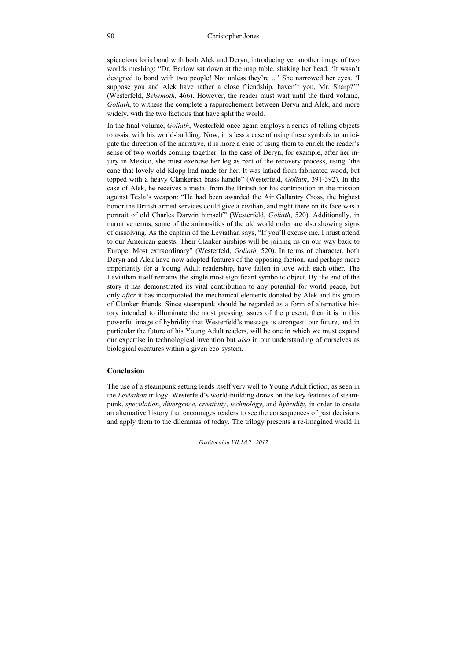spicacious loris bond with both Alek and Deryn, introducing yet another image of two worlds meshing: "Dr. Barlow sat down at the map table, shaking her head. 'It wasn't designed to bond with two people! Not unless they're ...' She narrowed her eyes. 'I suppose you and Alek have rather a close friendship, haven't you, Mr. Sharp?" (Westerfeld, *Behemoth*, 466). However, the reader must wait until the third volume, *Goliath*, to witness the complete a rapprochement between Deryn and Alek, and more widely, with the two factions that have split the world.

In the final volume, *Goliath*, Westerfeld once again employs a series of telling objects to assist with his world-building. Now, it is less a case of using these symbols to anticipate the direction of the narrative, it is more a case of using them to enrich the reader's sense of two worlds coming together. In the case of Deryn, for example, after her injury in Mexico, she must exercise her leg as part of the recovery process, using "the cane that lovely old Klopp had made for her. It was lathed from fabricated wood, but topped with a heavy Clankerish brass handle´ (Westerfeld, *Goliath*, 391-392). In the case of Alek, he receives a medal from the British for his contribution in the mission against Tesla's weapon: "He had been awarded the Air Gallantry Cross, the highest honor the British armed services could give a civilian, and right there on its face was a portrait of old Charles Darwin himself" (Westerfeld, *Goliath*, 520). Additionally, in narrative terms, some of the animosities of the old world order are also showing signs of dissolving. As the captain of the Leviathan says, "If you'll excuse me, I must attend to our American guests. Their Clanker airships will be joining us on our way back to Europe. Most extraordinary" (Westerfeld, *Goliath*, 520). In terms of character, both Deryn and Alek have now adopted features of the opposing faction, and perhaps more importantly for a Young Adult readership, have fallen in love with each other. The Leviathan itself remains the single most significant symbolic object. By the end of the story it has demonstrated its vital contribution to any potential for world peace, but only *after* it has incorporated the mechanical elements donated by Alek and his group of Clanker friends. Since steampunk should be regarded as a form of alternative history intended to illuminate the most pressing issues of the present, then it is in this powerful image of hybridity that Westerfeld's message is strongest: our future, and in particular the future of his Young Adult readers, will be one in which we must expand our expertise in technological invention but *also* in our understanding of ourselves as biological creatures within a given eco-system.

### **Conclusion**

The use of a steampunk setting lends itself very well to Young Adult fiction, as seen in the *Leviathan* trilogy. Westerfeld's world-building draws on the key features of steampunk, *speculation*, *divergence*, *creativity*, *technology*, and *hybridity*, in order to create an alternative history that encourages readers to see the consequences of past decisions and apply them to the dilemmas of today. The trilogy presents a re-imagined world in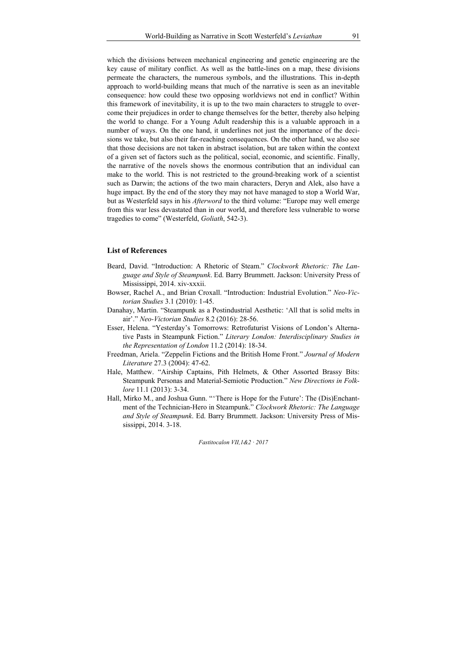which the divisions between mechanical engineering and genetic engineering are the key cause of military conflict. As well as the battle-lines on a map, these divisions permeate the characters, the numerous symbols, and the illustrations. This in-depth approach to world-building means that much of the narrative is seen as an inevitable consequence: how could these two opposing worldviews not end in conflict? Within this framework of inevitability, it is up to the two main characters to struggle to overcome their prejudices in order to change themselves for the better, thereby also helping the world to change. For a Young Adult readership this is a valuable approach in a number of ways. On the one hand, it underlines not just the importance of the decisions we take, but also their far-reaching consequences. On the other hand, we also see that those decisions are not taken in abstract isolation, but are taken within the context of a given set of factors such as the political, social, economic, and scientific. Finally, the narrative of the novels shows the enormous contribution that an individual can make to the world. This is not restricted to the ground-breaking work of a scientist such as Darwin; the actions of the two main characters, Deryn and Alek, also have a huge impact. By the end of the story they may not have managed to stop a World War, but as Westerfeld says in his *Afterword* to the third volume: "Europe may well emerge from this war less devastated than in our world, and therefore less vulnerable to worse tragedies to come" (Westerfeld, *Goliath*, 542-3).

#### **List of References**

- Beard, David. "Introduction: A Rhetoric of Steam.´ *Clockwork Rhetoric: The Language and Style of Steampunk*. Ed. Barry Brummett. Jackson: University Press of Mississippi, 2014. xiv-xxxii.
- Bowser, Rachel A., and Brian Croxall. "Introduction: Industrial Evolution.´ *Neo-Victorian Studies* 3.1 (2010): 1-45.
- Danahay, Martin. "Steampunk as a Postindustrial Aesthetic: 'All that is solid melts in air'.´ *Neo-Victorian Studies* 8.2 (2016): 28-56.
- Esser, Helena. "Yesterday's Tomorrows: Retrofuturist Visions of London's Alternative Pasts in Steampunk Fiction." *Literary London: Interdisciplinary Studies in the Representation of London* 11.2 (2014): 18-34.
- Freedman, Ariela. "Zeppelin Fictions and the British Home Front.´ *Journal of Modern Literature* 27.3 (2004): 47-62.
- Hale, Matthew. "Airship Captains, Pith Helmets, & Other Assorted Brassy Bits: Steampunk Personas and Material-Semiotic Production.´ *New Directions in Folklore* 11.1 (2013): 3-34.
- Hall, Mirko M., and Joshua Gunn. "There is Hope for the Future': The (Dis)Enchantment of the Technician-Hero in Steampunk.´ *Clockwork Rhetoric: The Language and Style of Steampunk*. Ed. Barry Brummett. Jackson: University Press of Mississippi, 2014. 3-18.